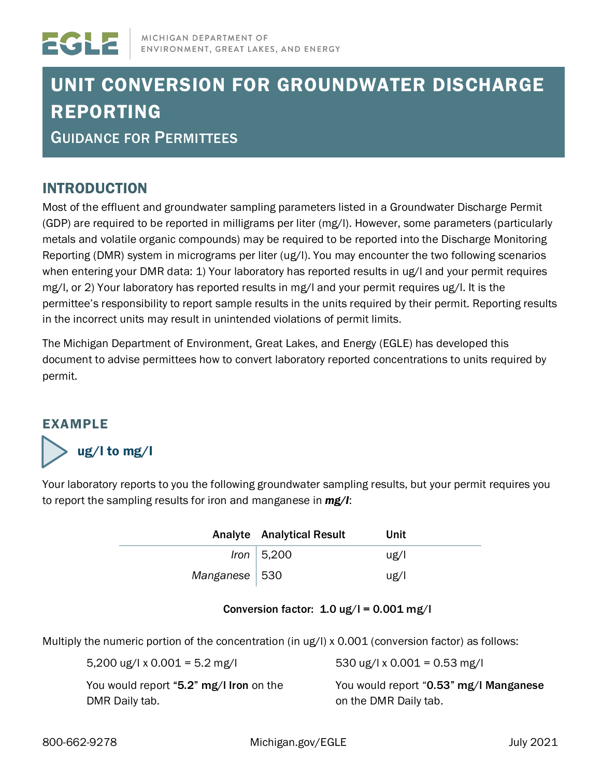

# UNIT CONVERSION FOR GROUNDWATER DISCHARGE REPORTING

GUIDANCE FOR PERMITTEES

## INTRODUCTION

Most of the effluent and groundwater sampling parameters listed in a Groundwater Discharge Permit (GDP) are required to be reported in milligrams per liter (mg/l). However, some parameters (particularly metals and volatile organic compounds) may be required to be reported into the Discharge Monitoring Reporting (DMR) system in micrograms per liter (ug/l). You may encounter the two following scenarios when entering your DMR data: 1) Your laboratory has reported results in ug/I and your permit requires mg/l, or 2) Your laboratory has reported results in mg/l and your permit requires ug/l. It is the permittee's responsibility to report sample results in the units required by their permit. Reporting results in the incorrect units may result in unintended violations of permit limits.

The Michigan Department of Environment, Great Lakes, and Energy (EGLE) has developed this document to advise permittees how to convert laboratory reported concentrations to units required by permit.

### EXAMPLE



Your laboratory reports to you the following groundwater sampling results, but your permit requires you to report the sampling results for iron and manganese in *mg/l*:

|                 | <b>Analyte</b> Analytical Result | Unit |
|-----------------|----------------------------------|------|
|                 | Iron $ 5,200$                    | ug/l |
| Manganese   530 |                                  | ug/l |

### Conversion factor:  $1.0$  ug/l =  $0.001$  mg/l

Multiply the numeric portion of the concentration (in ug/l) x 0.001 (conversion factor) as follows:

| 5,200 ug/l x 0.001 = 5.2 mg/l           | 530 ug/l x 0.001 = 0.53 mg/l           |
|-----------------------------------------|----------------------------------------|
| You would report "5.2" mg/I Iron on the | You would report "0.53" mg/I Manganese |
| DMR Daily tab.                          | on the DMR Daily tab.                  |